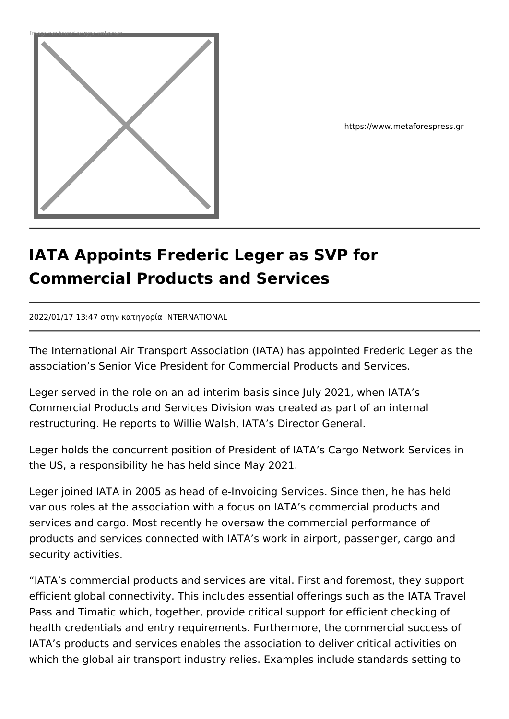

https://www.metaforespress.gr

## **IATA Appoints Frederic Leger as SVP for Commercial Products and Services**

2022/01/17 13:47 στην κατηγορία INTERNATIONAL

The International Air Transport Association (IATA) has appointed Frederic Leger as the association's Senior Vice President for Commercial Products and Services.

Leger served in the role on an ad interim basis since July 2021, when IATA's Commercial Products and Services Division was created as part of an internal restructuring. He reports to Willie Walsh, IATA's Director General.

Leger holds the concurrent position of President of IATA's Cargo Network Services in the US, a responsibility he has held since May 2021.

Leger joined IATA in 2005 as head of e-Invoicing Services. Since then, he has held various roles at the association with a focus on IATA's commercial products and services and cargo. Most recently he oversaw the commercial performance of products and services connected with IATA's work in airport, passenger, cargo and security activities.

"IATA's commercial products and services are vital. First and foremost, they support efficient global connectivity. This includes essential offerings such as the IATA Travel Pass and Timatic which, together, provide critical support for efficient checking of health credentials and entry requirements. Furthermore, the commercial success of IATA's products and services enables the association to deliver critical activities on which the global air transport industry relies. Examples include standards setting to